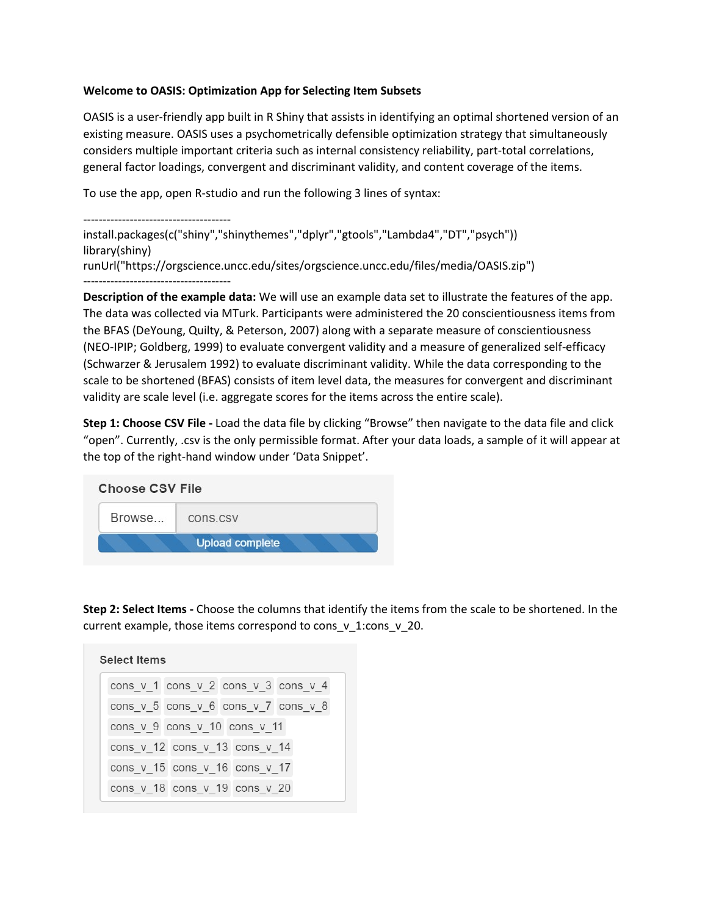## **Welcome to OASIS: Optimization App for Selecting Item Subsets**

OASIS is a user-friendly app built in R Shiny that assists in identifying an optimal shortened version of an existing measure. OASIS uses a psychometrically defensible optimization strategy that simultaneously considers multiple important criteria such as internal consistency reliability, part-total correlations, general factor loadings, convergent and discriminant validity, and content coverage of the items.

To use the app, open R-studio and run the following 3 lines of syntax:

```
--------------------------------------
install.packages(c("shiny","shinythemes","dplyr","gtools","Lambda4","DT","psych"))
library(shiny)
runUrl("https://orgscience.uncc.edu/sites/orgscience.uncc.edu/files/media/OASIS.zip")
--------------------------------------
```
**Description of the example data:** We will use an example data set to illustrate the features of the app. The data was collected via MTurk. Participants were administered the 20 conscientiousness items from the BFAS (DeYoung, Quilty, & Peterson, 2007) along with a separate measure of conscientiousness (NEO-IPIP; Goldberg, 1999) to evaluate convergent validity and a measure of generalized self-efficacy (Schwarzer & Jerusalem 1992) to evaluate discriminant validity. While the data corresponding to the scale to be shortened (BFAS) consists of item level data, the measures for convergent and discriminant validity are scale level (i.e. aggregate scores for the items across the entire scale).

**Step 1: Choose CSV File -** Load the data file by clicking "Browse" then navigate to the data file and click "open". Currently, .csv is the only permissible format. After your data loads, a sample of it will appear at the top of the right-hand window under 'Data Snippet'.

| <b>Choose CSV File</b> |                        |
|------------------------|------------------------|
| Browse                 | cons.csv               |
|                        | <b>Upload complete</b> |

**Step 2: Select Items -** Choose the columns that identify the items from the scale to be shortened. In the current example, those items correspond to cons\_v\_1:cons\_v\_20.

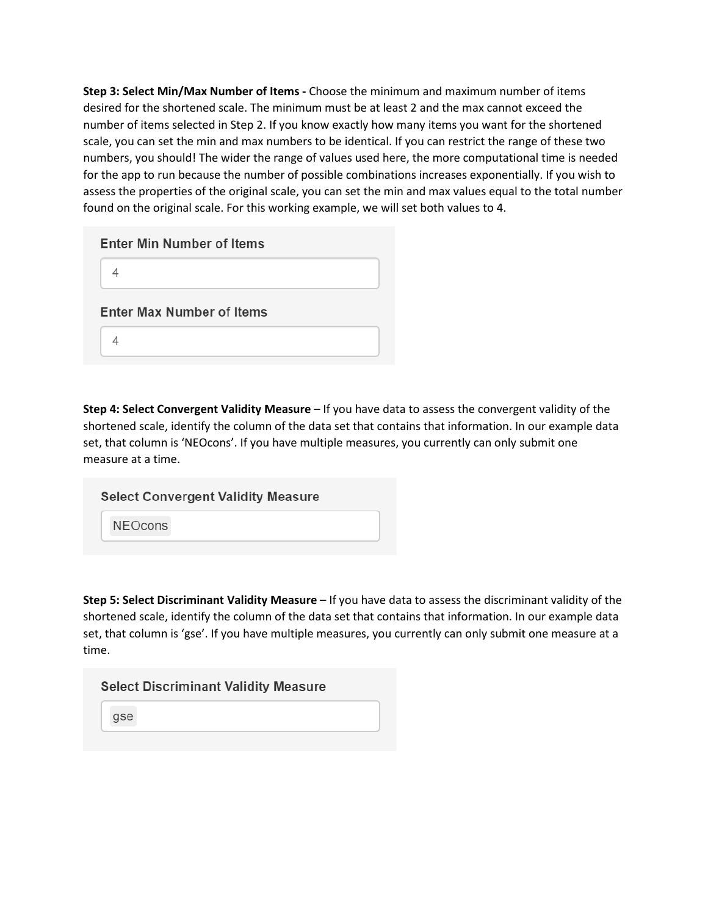**Step 3: Select Min/Max Number of Items -** Choose the minimum and maximum number of items desired for the shortened scale. The minimum must be at least 2 and the max cannot exceed the number of items selected in Step 2. If you know exactly how many items you want for the shortened scale, you can set the min and max numbers to be identical. If you can restrict the range of these two numbers, you should! The wider the range of values used here, the more computational time is needed for the app to run because the number of possible combinations increases exponentially. If you wish to assess the properties of the original scale, you can set the min and max values equal to the total number found on the original scale. For this working example, we will set both values to 4.

| <b>Enter Min Number of Items</b> |
|----------------------------------|
|                                  |
| <b>Enter Max Number of Items</b> |
|                                  |

**Step 4: Select Convergent Validity Measure** – If you have data to assess the convergent validity of the shortened scale, identify the column of the data set that contains that information. In our example data set, that column is 'NEOcons'. If you have multiple measures, you currently can only submit one measure at a time.

| <b>Select Convergent Validity Measure</b> |  |
|-------------------------------------------|--|
| <b>NEOcons</b>                            |  |

**Step 5: Select Discriminant Validity Measure** – If you have data to assess the discriminant validity of the shortened scale, identify the column of the data set that contains that information. In our example data set, that column is 'gse'. If you have multiple measures, you currently can only submit one measure at a time.

| <b>Select Discriminant Validity Measure</b> |  |  |  |
|---------------------------------------------|--|--|--|
| gse                                         |  |  |  |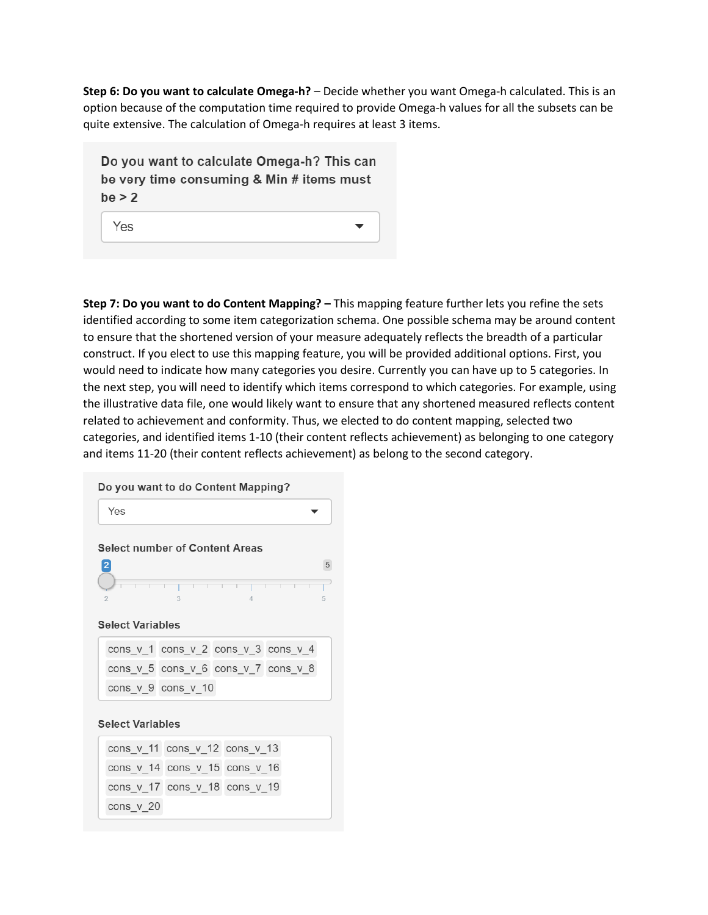**Step 6: Do you want to calculate Omega-h?** – Decide whether you want Omega-h calculated. This is an option because of the computation time required to provide Omega-h values for all the subsets can be quite extensive. The calculation of Omega-h requires at least 3 items.

Do you want to calculate Omega-h? This can be very time consuming & Min # items must  $be > 2$ 

Yes

**Step 7: Do you want to do Content Mapping? –** This mapping feature further lets you refine the sets identified according to some item categorization schema. One possible schema may be around content to ensure that the shortened version of your measure adequately reflects the breadth of a particular construct. If you elect to use this mapping feature, you will be provided additional options. First, you would need to indicate how many categories you desire. Currently you can have up to 5 categories. In the next step, you will need to identify which items correspond to which categories. For example, using the illustrative data file, one would likely want to ensure that any shortened measured reflects content related to achievement and conformity. Thus, we elected to do content mapping, selected two categories, and identified items 1-10 (their content reflects achievement) as belonging to one category and items 11-20 (their content reflects achievement) as belong to the second category.

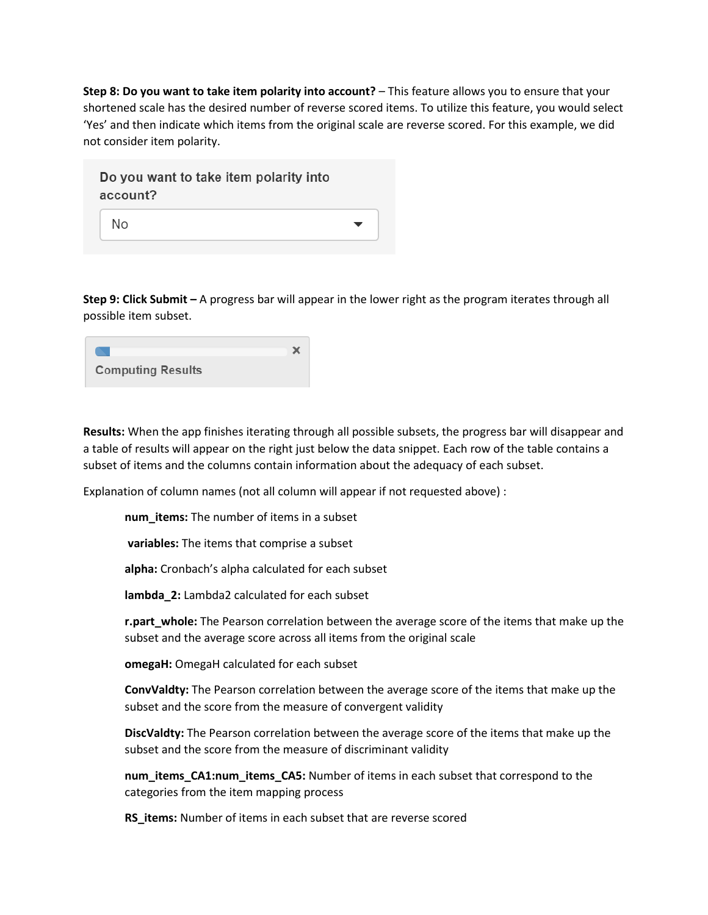**Step 8: Do you want to take item polarity into account?** – This feature allows you to ensure that your shortened scale has the desired number of reverse scored items. To utilize this feature, you would select 'Yes' and then indicate which items from the original scale are reverse scored. For this example, we did not consider item polarity.

| Do you want to take item polarity into |  |
|----------------------------------------|--|
| account?                               |  |
| No                                     |  |

**Step 9: Click Submit –** A progress bar will appear in the lower right as the program iterates through all possible item subset.

| <b>Computing Results</b> |  |
|--------------------------|--|

**Results:** When the app finishes iterating through all possible subsets, the progress bar will disappear and a table of results will appear on the right just below the data snippet. Each row of the table contains a subset of items and the columns contain information about the adequacy of each subset.

Explanation of column names (not all column will appear if not requested above) :

**num\_items:** The number of items in a subset

**variables:** The items that comprise a subset

**alpha:** Cronbach's alpha calculated for each subset

**lambda\_2:** Lambda2 calculated for each subset

**r.part\_whole:** The Pearson correlation between the average score of the items that make up the subset and the average score across all items from the original scale

**omegaH:** OmegaH calculated for each subset

**ConvValdty:** The Pearson correlation between the average score of the items that make up the subset and the score from the measure of convergent validity

**DiscValdty:** The Pearson correlation between the average score of the items that make up the subset and the score from the measure of discriminant validity

**num\_items\_CA1:num\_items\_CA5:** Number of items in each subset that correspond to the categories from the item mapping process

**RS\_items:** Number of items in each subset that are reverse scored